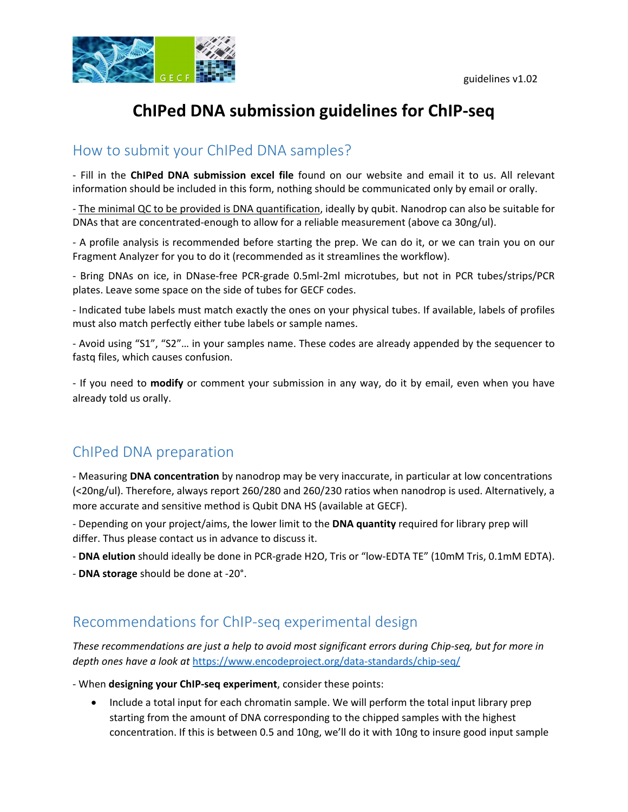

# **ChIPed DNA submission guidelines for ChIP‐seq**

### How to submit your ChIPed DNA samples?

‐ Fill in the **ChIPed DNA submission excel file** found on our website and email it to us. All relevant information should be included in this form, nothing should be communicated only by email or orally.

‐ The minimal QC to be provided is DNA quantification, ideally by qubit. Nanodrop can also be suitable for DNAs that are concentrated‐enough to allow for a reliable measurement (above ca 30ng/ul).

‐ A profile analysis is recommended before starting the prep. We can do it, or we can train you on our Fragment Analyzer for you to do it (recommended as it streamlines the workflow).

‐ Bring DNAs on ice, in DNase‐free PCR‐grade 0.5ml‐2ml microtubes, but not in PCR tubes/strips/PCR plates. Leave some space on the side of tubes for GECF codes.

‐ Indicated tube labels must match exactly the ones on your physical tubes. If available, labels of profiles must also match perfectly either tube labels or sample names.

‐ Avoid using "S1", "S2"… in your samples name. These codes are already appended by the sequencer to fastq files, which causes confusion.

‐ If you need to **modify** or comment your submission in any way, do it by email, even when you have already told us orally.

## ChIPed DNA preparation

‐ Measuring **DNA concentration** by nanodrop may be very inaccurate, in particular at low concentrations (<20ng/ul). Therefore, always report 260/280 and 260/230 ratios when nanodrop is used. Alternatively, a more accurate and sensitive method is Qubit DNA HS (available at GECF).

‐ Depending on your project/aims, the lower limit to the **DNA quantity** required for library prep will differ. Thus please contact us in advance to discuss it.

‐ **DNA elution** should ideally be done in PCR‐grade H2O, Tris or "low‐EDTA TE" (10mM Tris, 0.1mM EDTA).

‐ **DNA storage** should be done at ‐20°.

#### Recommendations for ChIP‐seq experimental design

These recommendations are just a help to avoid most significant errors during Chip-seg, but for more in *depth ones have a look at* https://www.encodeproject.org/data‐standards/chip‐seq/

‐ When **designing your ChIP‐seq experiment**, consider these points:

• Include a total input for each chromatin sample. We will perform the total input library prep starting from the amount of DNA corresponding to the chipped samples with the highest concentration. If this is between 0.5 and 10ng, we'll do it with 10ng to insure good input sample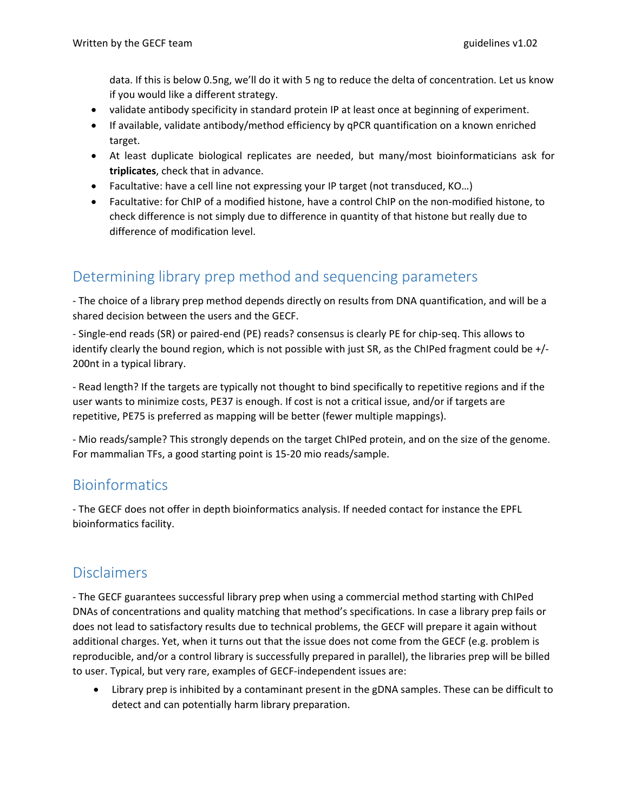data. If this is below 0.5ng, we'll do it with 5 ng to reduce the delta of concentration. Let us know if you would like a different strategy.

- validate antibody specificity in standard protein IP at least once at beginning of experiment.
- If available, validate antibody/method efficiency by qPCR quantification on a known enriched target.
- At least duplicate biological replicates are needed, but many/most bioinformaticians ask for **triplicates**, check that in advance.
- Facultative: have a cell line not expressing your IP target (not transduced, KO…)
- Facultative: for ChIP of a modified histone, have a control ChIP on the non‐modified histone, to check difference is not simply due to difference in quantity of that histone but really due to difference of modification level.

# Determining library prep method and sequencing parameters

‐ The choice of a library prep method depends directly on results from DNA quantification, and will be a shared decision between the users and the GECF.

‐ Single‐end reads (SR) or paired‐end (PE) reads? consensus is clearly PE for chip‐seq. This allows to identify clearly the bound region, which is not possible with just SR, as the ChIPed fragment could be +/‐ 200nt in a typical library.

‐ Read length? If the targets are typically not thought to bind specifically to repetitive regions and if the user wants to minimize costs, PE37 is enough. If cost is not a critical issue, and/or if targets are repetitive, PE75 is preferred as mapping will be better (fewer multiple mappings).

‐ Mio reads/sample? This strongly depends on the target ChIPed protein, and on the size of the genome. For mammalian TFs, a good starting point is 15‐20 mio reads/sample.

#### Bioinformatics

‐ The GECF does not offer in depth bioinformatics analysis. If needed contact for instance the EPFL bioinformatics facility.

## Disclaimers

‐ The GECF guarantees successful library prep when using a commercial method starting with ChIPed DNAs of concentrations and quality matching that method's specifications. In case a library prep fails or does not lead to satisfactory results due to technical problems, the GECF will prepare it again without additional charges. Yet, when it turns out that the issue does not come from the GECF (e.g. problem is reproducible, and/or a control library is successfully prepared in parallel), the libraries prep will be billed to user. Typical, but very rare, examples of GECF‐independent issues are:

 Library prep is inhibited by a contaminant present in the gDNA samples. These can be difficult to detect and can potentially harm library preparation.